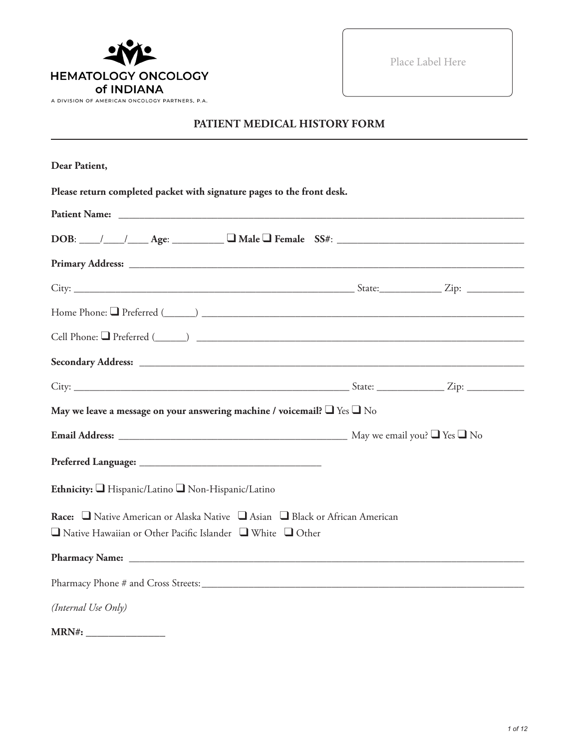

Place Label Here

#### **PATIENT MEDICAL HISTORY FORM**

| Dear Patient,                                                                                                                                |  |
|----------------------------------------------------------------------------------------------------------------------------------------------|--|
| Please return completed packet with signature pages to the front desk.                                                                       |  |
|                                                                                                                                              |  |
| $DOB:$ $\_\_\_\_\_\_\_\_\_\_\_\_\_\_$ Age: $\_\_\_\_\_\_\_\_\_\_\_\_\_\_\_\_\_$ Female $SS#:$ $\_\_\_\_\_\_\_\_\_\_\_\_\_\_\_\_\_\_\_\_\_\_$ |  |
|                                                                                                                                              |  |
|                                                                                                                                              |  |
|                                                                                                                                              |  |
|                                                                                                                                              |  |
|                                                                                                                                              |  |
|                                                                                                                                              |  |
| May we leave a message on your answering machine / voicemail? $\Box$ Yes $\Box$ No                                                           |  |
|                                                                                                                                              |  |
|                                                                                                                                              |  |
| Ethnicity: I Hispanic/Latino I Non-Hispanic/Latino                                                                                           |  |
| Race: □ Native American or Alaska Native □ Asian □ Black or African American                                                                 |  |
| $\Box$ Native Hawaiian or Other Pacific Islander $\Box$ White $\Box$ Other                                                                   |  |
|                                                                                                                                              |  |
|                                                                                                                                              |  |
| (Internal Use Only)                                                                                                                          |  |
|                                                                                                                                              |  |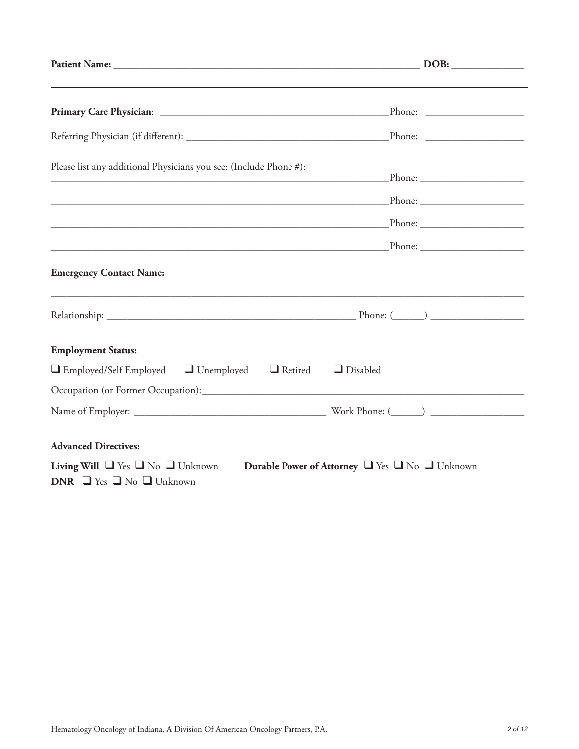| Please list any additional Physicians you see: (Include Phone #):<br><u> 1989 - Johann John Stone, mars eta bainar eta industrial eta industrial eta industrial eta industrial eta in</u> |  |
|-------------------------------------------------------------------------------------------------------------------------------------------------------------------------------------------|--|
|                                                                                                                                                                                           |  |
|                                                                                                                                                                                           |  |
|                                                                                                                                                                                           |  |
| <b>Emergency Contact Name:</b>                                                                                                                                                            |  |
|                                                                                                                                                                                           |  |
| <b>Employment Status:</b>                                                                                                                                                                 |  |
| $\Box$ Employed/Self Employed $\Box$ Unemployed $\Box$ Retired<br>$\Box$ Disabled                                                                                                         |  |
|                                                                                                                                                                                           |  |
|                                                                                                                                                                                           |  |
| <b>Advanced Directives:</b>                                                                                                                                                               |  |
| Living Will $\Box$ Yes $\Box$ No $\Box$ Unknown<br>Durable Power of Attorney U Yes U No Unknown<br>DNR $\Box$ Yes $\Box$ No $\Box$ Unknown                                                |  |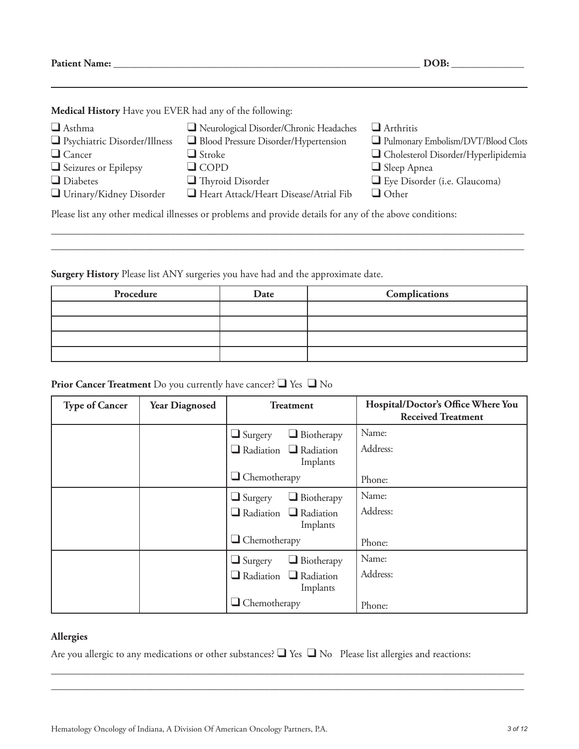**Patient Name: \_\_\_\_\_\_\_\_\_\_\_\_\_\_\_\_\_\_\_\_\_\_\_\_\_\_\_\_\_\_\_\_\_\_\_\_\_\_\_\_\_\_\_\_\_\_\_\_\_\_\_\_\_\_\_\_\_\_\_ DOB: \_\_\_\_\_\_\_\_\_\_\_\_\_\_**

**Medical History** Have you EVER had any of the following:

| $\Box$ Asthma<br>□ Psychiatric Disorder/Illness                                                          | Neurological Disorder/Chronic Headaches<br>Blood Pressure Disorder/Hypertension | $\Box$ Arthritis<br>Pulmonary Embolism/DVT/Blood Clots |  |
|----------------------------------------------------------------------------------------------------------|---------------------------------------------------------------------------------|--------------------------------------------------------|--|
| $\Box$ Cancer                                                                                            | $\Box$ Stroke                                                                   | Cholesterol Disorder/Hyperlipidemia                    |  |
| Seizures or Epilepsy                                                                                     | $\Box$ COPD                                                                     | $\Box$ Sleep Apnea                                     |  |
| $\Box$ Diabetes                                                                                          | $\Box$ Thyroid Disorder                                                         | Eye Disorder (i.e. Glaucoma)                           |  |
| Urinary/Kidney Disorder                                                                                  | Heart Attack/Heart Disease/Atrial Fib                                           | $\Box$ Other                                           |  |
| Please list any other medical illnesses or problems and provide details for any of the above conditions: |                                                                                 |                                                        |  |

\_\_\_\_\_\_\_\_\_\_\_\_\_\_\_\_\_\_\_\_\_\_\_\_\_\_\_\_\_\_\_\_\_\_\_\_\_\_\_\_\_\_\_\_\_\_\_\_\_\_\_\_\_\_\_\_\_\_\_\_\_\_\_\_\_\_\_\_\_\_\_\_\_\_\_\_\_\_\_\_\_\_\_\_\_\_\_\_\_\_\_ \_\_\_\_\_\_\_\_\_\_\_\_\_\_\_\_\_\_\_\_\_\_\_\_\_\_\_\_\_\_\_\_\_\_\_\_\_\_\_\_\_\_\_\_\_\_\_\_\_\_\_\_\_\_\_\_\_\_\_\_\_\_\_\_\_\_\_\_\_\_\_\_\_\_\_\_\_\_\_\_\_\_\_\_\_\_\_\_\_\_\_

**Surgery History** Please list ANY surgeries you have had and the approximate date.

| Procedure | Date | Complications |
|-----------|------|---------------|
|           |      |               |
|           |      |               |
|           |      |               |
|           |      |               |

#### **Prior Cancer Treatment** Do you currently have cancer? ❑ Yes ❑ No

| <b>Type of Cancer</b> | <b>Year Diagnosed</b> | <b>Treatment</b>                              | Hospital/Doctor's Office Where You<br><b>Received Treatment</b> |
|-----------------------|-----------------------|-----------------------------------------------|-----------------------------------------------------------------|
|                       |                       | $\Box$ Biotherapy<br>$\Box$ Surgery           | Name:                                                           |
|                       |                       | $\Box$ Radiation $\Box$ Radiation<br>Implants | Address:                                                        |
|                       |                       | $\Box$ Chemotherapy                           | Phone:                                                          |
|                       |                       | $\Box$ Biotherapy<br>$\Box$ Surgery           | Name:                                                           |
|                       |                       | $\Box$ Radiation $\Box$ Radiation<br>Implants | Address:                                                        |
|                       |                       | $\Box$ Chemotherapy                           | Phone:                                                          |
|                       |                       | $\Box$ Biotherapy<br>$\Box$ Surgery           | Name:                                                           |
|                       |                       | $\Box$ Radiation $\Box$ Radiation<br>Implants | Address:                                                        |
|                       |                       | $\Box$ Chemotherapy                           | Phone:                                                          |

#### **Allergies**

Are you allergic to any medications or other substances? ❑ Yes ❑ No Please list allergies and reactions:

\_\_\_\_\_\_\_\_\_\_\_\_\_\_\_\_\_\_\_\_\_\_\_\_\_\_\_\_\_\_\_\_\_\_\_\_\_\_\_\_\_\_\_\_\_\_\_\_\_\_\_\_\_\_\_\_\_\_\_\_\_\_\_\_\_\_\_\_\_\_\_\_\_\_\_\_\_\_\_\_\_\_\_\_\_\_\_\_\_\_\_ \_\_\_\_\_\_\_\_\_\_\_\_\_\_\_\_\_\_\_\_\_\_\_\_\_\_\_\_\_\_\_\_\_\_\_\_\_\_\_\_\_\_\_\_\_\_\_\_\_\_\_\_\_\_\_\_\_\_\_\_\_\_\_\_\_\_\_\_\_\_\_\_\_\_\_\_\_\_\_\_\_\_\_\_\_\_\_\_\_\_\_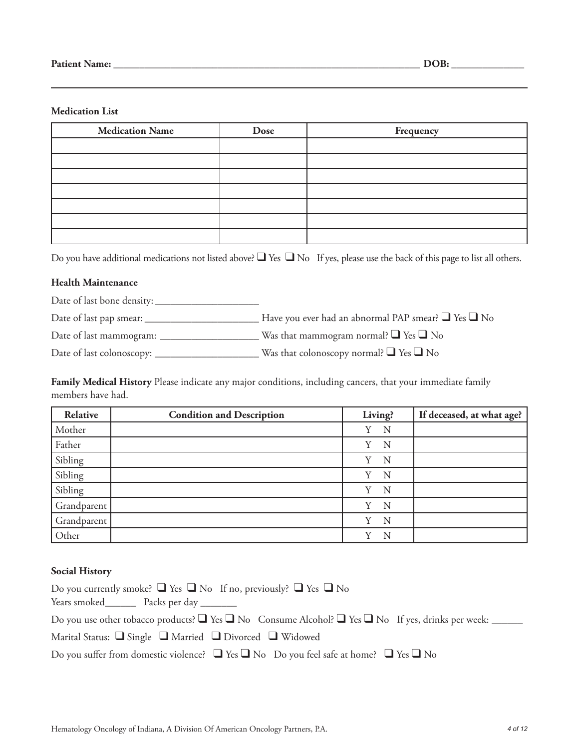#### **Medication List**

| <b>Medication Name</b> | Dose | Frequency |
|------------------------|------|-----------|
|                        |      |           |
|                        |      |           |
|                        |      |           |
|                        |      |           |
|                        |      |           |
|                        |      |           |
|                        |      |           |

Do you have additional medications not listed above? ■ Yes ■ No If yes, please use the back of this page to list all others.

#### **Health Maintenance**

Date of last bone density: \_\_\_\_\_\_\_\_\_\_\_\_\_\_\_\_\_\_\_\_

Date of last pap smear: \_\_\_\_\_\_\_\_\_\_\_\_\_\_\_\_\_\_\_\_\_\_ Have you ever had an abnormal PAP smear? ❑ Yes ❑ No

Date of last mammogram: \_\_\_\_\_\_\_\_\_\_\_\_\_\_\_\_\_\_\_ Was that mammogram normal? ❑ Yes ❑ No

Date of last colonoscopy: \_\_\_\_\_\_\_\_\_\_\_\_\_\_\_\_\_\_\_\_ Was that colonoscopy normal? ❑ Yes ❑ No

**Family Medical History** Please indicate any major conditions, including cancers, that your immediate family members have had.

| Relative    | <b>Condition and Description</b> | Living? | If deceased, at what age? |
|-------------|----------------------------------|---------|---------------------------|
| Mother      |                                  | N<br>Y  |                           |
| Father      |                                  | N<br>Y  |                           |
| Sibling     |                                  | Y<br>N  |                           |
| Sibling     |                                  | N<br>Y  |                           |
| Sibling     |                                  | Y<br>N  |                           |
| Grandparent |                                  | N<br>Y  |                           |
| Grandparent |                                  | N<br>v  |                           |
| Other       |                                  | v<br>N  |                           |

#### **Social History**

| Do you currently smoke? $\Box$ Yes $\Box$ No If no, previously? $\Box$ Yes $\Box$ No                                   |
|------------------------------------------------------------------------------------------------------------------------|
| Years smoked Packs per day                                                                                             |
| Do you use other tobacco products? $\Box$ Yes $\Box$ No Consume Alcohol? $\Box$ Yes $\Box$ No If yes, drinks per week: |
| Marital Status: $\Box$ Single $\Box$ Married $\Box$ Divorced $\Box$ Widowed                                            |
| Do you suffer from domestic violence? $\Box$ Yes $\Box$ No Do you feel safe at home? $\Box$ Yes $\Box$ No              |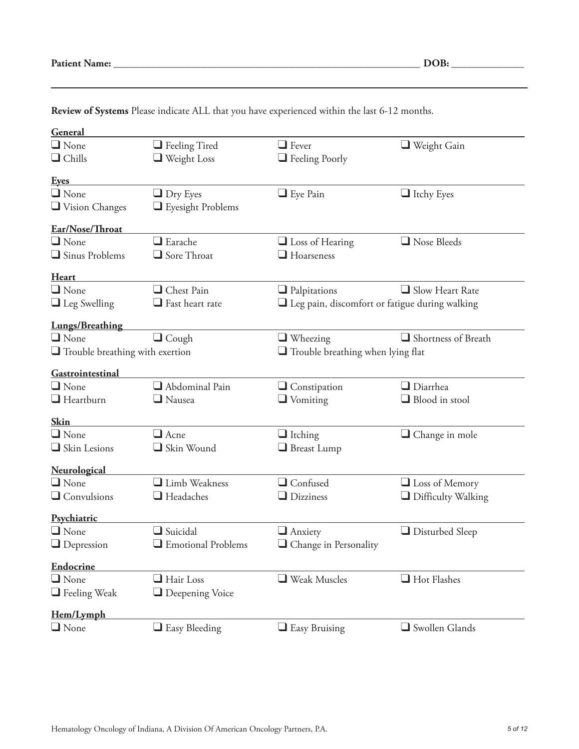| General                                |                                            |                                                          |                                          |  |
|----------------------------------------|--------------------------------------------|----------------------------------------------------------|------------------------------------------|--|
| $\Box$ None                            | $\Box$ Feeling Tired                       | $\Box$ Fever                                             | $\Box$ Weight Gain                       |  |
| $\Box$ Chills                          | $\Box$ Weight Loss                         |                                                          |                                          |  |
|                                        |                                            | $\Box$ Feeling Poorly                                    |                                          |  |
| <u>Eyes</u>                            |                                            |                                                          |                                          |  |
| $\Box$ None                            | $\Box$ Dry Eyes                            | $\Box$ Eye Pain                                          | $\Box$ Itchy Eyes                        |  |
| Vision Changes                         | $\Box$ Eyesight Problems                   |                                                          |                                          |  |
| Ear/Nose/Throat                        |                                            |                                                          |                                          |  |
| $\Box$ None                            | $\Box$ Earache                             | $\Box$ Loss of Hearing                                   | Nose Bleeds                              |  |
| $\Box$ Sinus Problems                  | $\Box$ Sore Throat                         | $\Box$ Hoarseness                                        |                                          |  |
| <b>Heart</b>                           |                                            |                                                          |                                          |  |
| $\Box$ None                            | Chest Pain                                 | $\Box$ Palpitations                                      | $\Box$ Slow Heart Rate                   |  |
| $\Box$ Leg Swelling                    | $\Box$ Fast heart rate                     | $\square$ Leg pain, discomfort or fatigue during walking |                                          |  |
| <b>Lungs/Breathing</b>                 |                                            |                                                          |                                          |  |
| $\Box$ None                            | $\Box$ Cough                               | $\Box$ Wheezing                                          | Shortness of Breath                      |  |
| $\Box$ Trouble breathing with exertion |                                            |                                                          | $\Box$ Trouble breathing when lying flat |  |
| Gastrointestinal                       |                                            |                                                          |                                          |  |
| $\Box$ None                            | $\Box$ Abdominal Pain                      | $\Box$ Constipation                                      | $\Box$ Diarrhea                          |  |
| $\Box$ Heartburn                       | $\Box$ Nausea                              | $\Box$ Vomiting                                          | $\Box$ Blood in stool                    |  |
|                                        |                                            |                                                          |                                          |  |
| <b>Skin</b>                            |                                            |                                                          |                                          |  |
| $\Box$ None                            | $\Box$ Acne                                | $\Box$ Itching                                           | Change in mole                           |  |
| $\Box$ Skin Lesions                    | Skin Wound                                 | Breast Lump                                              |                                          |  |
| <b>Neurological</b>                    |                                            |                                                          |                                          |  |
| $\Box$ None                            | Limb Weakness                              | $\Box$ Confused                                          | $\Box$ Loss of Memory                    |  |
| $\Box$ Convulsions                     | $\Box$ Headaches                           | $\Box$ Dizziness                                         | $\Box$ Difficulty Walking                |  |
| Psychiatric                            |                                            |                                                          |                                          |  |
| $\Box$ None                            | $\Box$ Suicidal                            | $\Box$ Anxiety                                           | $\Box$ Disturbed Sleep                   |  |
| $\Box$ Depression                      | $\hfill\blacksquare$<br>Emotional Problems | $\Box$ Change in Personality                             |                                          |  |
| <b>Endocrine</b>                       |                                            |                                                          |                                          |  |
| $\Box$ None                            | $\Box$ Hair Loss                           | $\Box$ Weak Muscles                                      | Hot Flashes                              |  |
| $\Box$ Feeling Weak                    | $\Box$ Deepening Voice                     |                                                          |                                          |  |
| Hem/Lymph                              |                                            |                                                          |                                          |  |
| $\Box$ None                            | $\Box$ Easy Bleeding                       | $\Box$ Easy Bruising                                     | Swollen Glands                           |  |

**Review of Systems** Please indicate ALL that you have experienced within the last 6-12 months.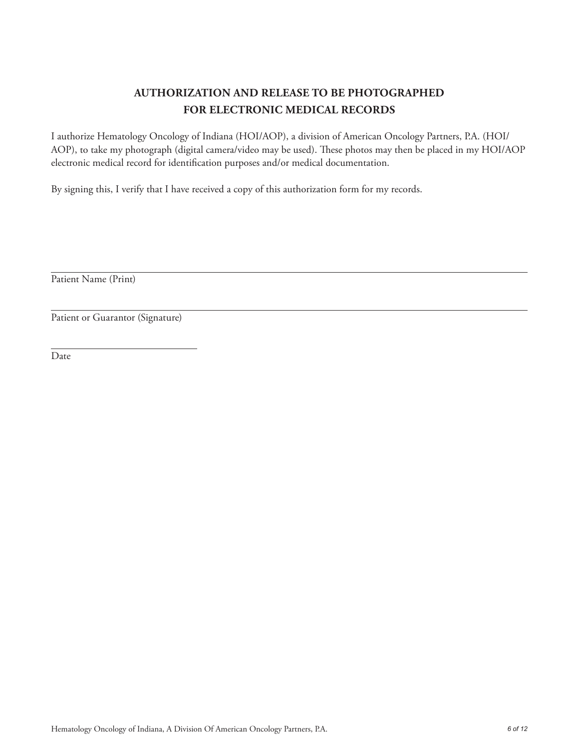### **AUTHORIZATION AND RELEASE TO BE PHOTOGRAPHED FOR ELECTRONIC MEDICAL RECORDS**

I authorize Hematology Oncology of Indiana (HOI/AOP), a division of American Oncology Partners, P.A. (HOI/ AOP), to take my photograph (digital camera/video may be used). These photos may then be placed in my HOI/AOP electronic medical record for identification purposes and/or medical documentation.

By signing this, I verify that I have received a copy of this authorization form for my records.

Patient Name (Print)

Patient or Guarantor (Signature)

Date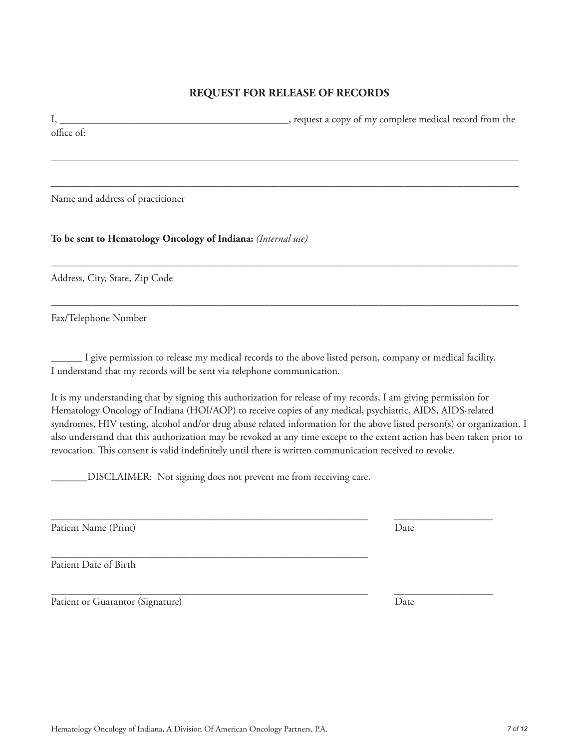#### **REQUEST FOR RELEASE OF RECORDS**

I, \_\_\_\_\_\_\_\_\_\_\_\_\_\_\_\_\_\_\_\_\_\_\_\_\_\_\_\_\_\_\_\_\_\_\_\_\_\_\_\_\_\_\_\_, request a copy of my complete medical record from the office of:

––––––––––––––––––––––––––––––––––––––––––––––––––––––––––––––––––––––––––––––––––––––––––

––––––––––––––––––––––––––––––––––––––––––––––––––––––––––––––––––––––––––––––––––––––––––

––––––––––––––––––––––––––––––––––––––––––––––––––––––––––––––––––––––––––––––––––––––––––

––––––––––––––––––––––––––––––––––––––––––––––––––––––––––––––––––––––––––––––––––––––––––

Name and address of practitioner

**To be sent to Hematology Oncology of Indiana:** *(Internal use)*

Address, City, State, Zip Code

Fax/Telephone Number

\_\_\_\_\_\_ I give permission to release my medical records to the above listed person, company or medical facility. I understand that my records will be sent via telephone communication.

\_\_\_\_\_\_\_\_\_\_\_\_\_\_\_\_\_\_\_\_\_\_\_\_\_\_\_\_\_\_\_\_\_\_\_\_\_\_\_\_\_\_\_\_\_\_\_\_\_\_\_\_\_\_\_\_\_\_\_\_\_ \_\_\_\_\_\_\_\_\_\_\_\_\_\_\_\_\_\_\_

It is my understanding that by signing this authorization for release of my records, I am giving permission for Hematology Oncology of Indiana (HOI/AOP) to receive copies of any medical, psychiatric, AIDS, AIDS-related syndromes, HIV testing, alcohol and/or drug abuse related information for the above listed person(s) or organization. I also understand that this authorization may be revoked at any time except to the extent action has been taken prior to revocation. This consent is valid indefinitely until there is written communication received to revoke.

\_\_\_\_\_\_\_DISCLAIMER: Not signing does not prevent me from receiving care.

Patient Name (Print) Date

\_\_\_\_\_\_\_\_\_\_\_\_\_\_\_\_\_\_\_\_\_\_\_\_\_\_\_\_\_\_\_\_\_\_\_\_\_\_\_\_\_\_\_\_\_\_\_\_\_\_\_\_\_\_\_\_\_\_\_\_\_ Patient Date of Birth

Patient or Guarantor (Signature) Date

\_\_\_\_\_\_\_\_\_\_\_\_\_\_\_\_\_\_\_\_\_\_\_\_\_\_\_\_\_\_\_\_\_\_\_\_\_\_\_\_\_\_\_\_\_\_\_\_\_\_\_\_\_\_\_\_\_\_\_\_\_ \_\_\_\_\_\_\_\_\_\_\_\_\_\_\_\_\_\_\_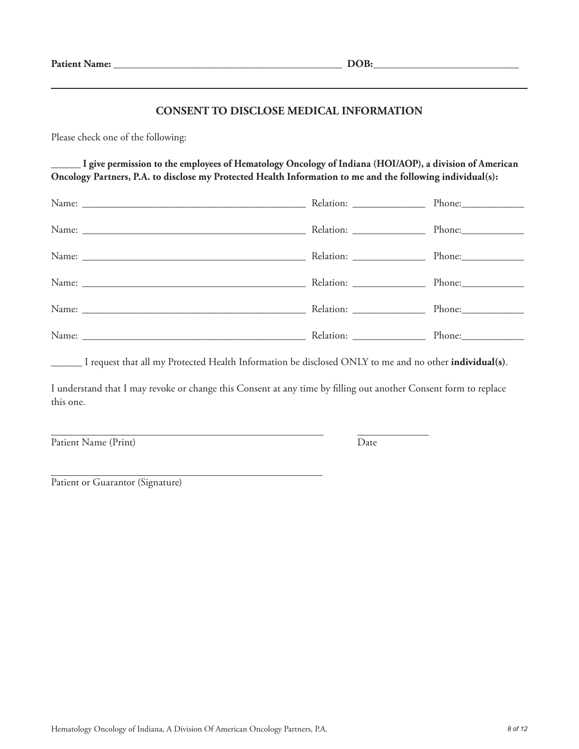#### **CONSENT TO DISCLOSE MEDICAL INFORMATION**

Please check one of the following:

**\_\_\_\_\_\_ I give permission to the employees of Hematology Oncology of Indiana (HOI/AOP), a division of American Oncology Partners, P.A. to disclose my Protected Health Information to me and the following individual(s):**

| Relation: ___________________ | Phone: |
|-------------------------------|--------|
|                               |        |
| Relation: ________________    |        |
|                               |        |
|                               | Phone: |

\_\_\_\_\_\_ I request that all my Protected Health Information be disclosed ONLY to me and no other **individual(s)**.

I understand that I may revoke or change this Consent at any time by filling out another Consent form to replace this one.

Patient Name (Print) Date

Patient or Guarantor (Signature)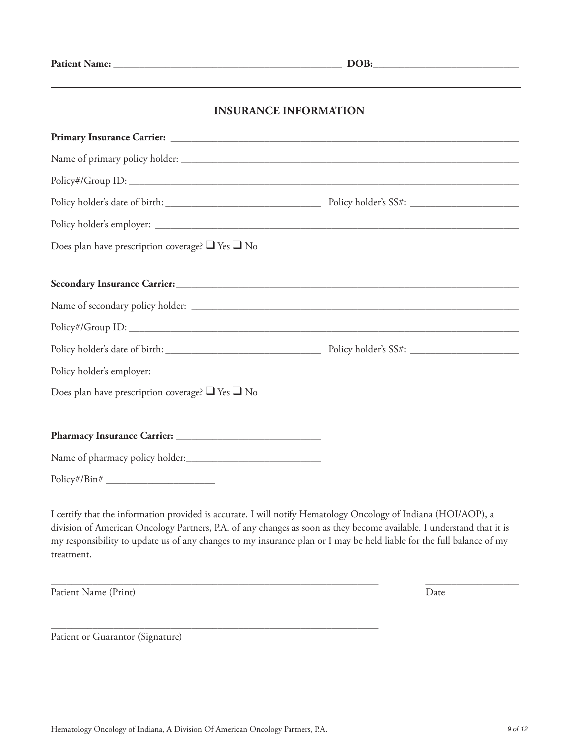#### **INSURANCE INFORMATION**

| Does plan have prescription coverage? $\Box$ Yes $\Box$ No |  |
|------------------------------------------------------------|--|
|                                                            |  |
|                                                            |  |
|                                                            |  |
|                                                            |  |
|                                                            |  |
| Does plan have prescription coverage? $\Box$ Yes $\Box$ No |  |
|                                                            |  |
|                                                            |  |
| Policy#/Bin#                                               |  |

I certify that the information provided is accurate. I will notify Hematology Oncology of Indiana (HOI/AOP), a division of American Oncology Partners, P.A. of any changes as soon as they become available. I understand that it is my responsibility to update us of any changes to my insurance plan or I may be held liable for the full balance of my treatment.

\_\_\_\_\_\_\_\_\_\_\_\_\_\_\_\_\_\_\_\_\_\_\_\_\_\_\_\_\_\_\_\_\_\_\_\_\_\_\_\_\_\_\_\_\_\_\_\_\_\_\_\_\_\_\_\_\_\_\_\_\_\_\_ \_\_\_\_\_\_\_\_\_\_\_\_\_\_\_\_\_\_

Patient Name (Print) Date

Patient or Guarantor (Signature)

\_\_\_\_\_\_\_\_\_\_\_\_\_\_\_\_\_\_\_\_\_\_\_\_\_\_\_\_\_\_\_\_\_\_\_\_\_\_\_\_\_\_\_\_\_\_\_\_\_\_\_\_\_\_\_\_\_\_\_\_\_\_\_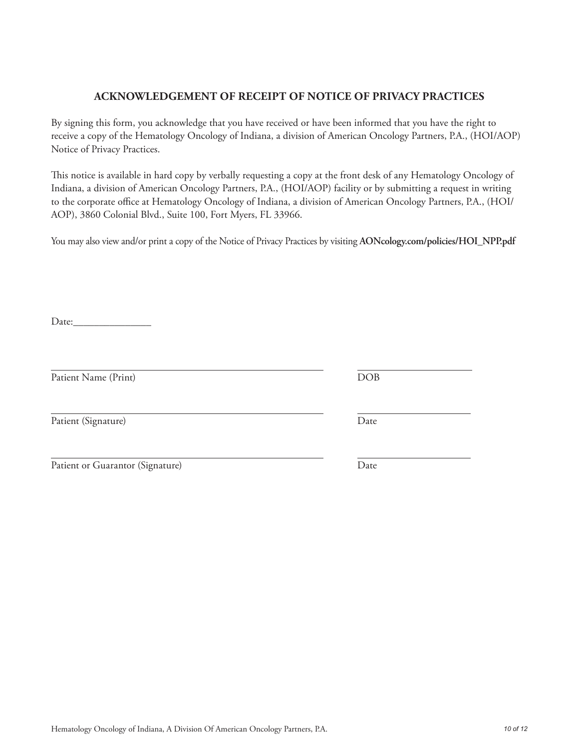## Hematology Oncology of Indiana, A Division Of American Oncology Partners, P.A. *10 of 12*

#### **ACKNOWLEDGEMENT OF RECEIPT OF NOTICE OF PRIVACY PRACTICES**

By signing this form, you acknowledge that you have received or have been informed that you have the right to receive a copy of the Hematology Oncology of Indiana, a division of American Oncology Partners, P.A., (HOI/AOP) Notice of Privacy Practices.

This notice is available in hard copy by verbally requesting a copy at the front desk of any Hematology Oncology of Indiana, a division of American Oncology Partners, P.A., (HOI/AOP) facility or by submitting a request in writing to the corporate office at Hematology Oncology of Indiana, a division of American Oncology Partners, P.A., (HOI/ AOP), 3860 Colonial Blvd., Suite 100, Fort Myers, FL 33966.

You may also view and/or print a copy of the Notice of Privacy Practices by visiting **AONcology.com/policies/HOI\_NPP.pdf**

Date:

Patient Name (Print) DOB

Patient (Signature) Date

| Patient or Guarantor (Signature) |  |
|----------------------------------|--|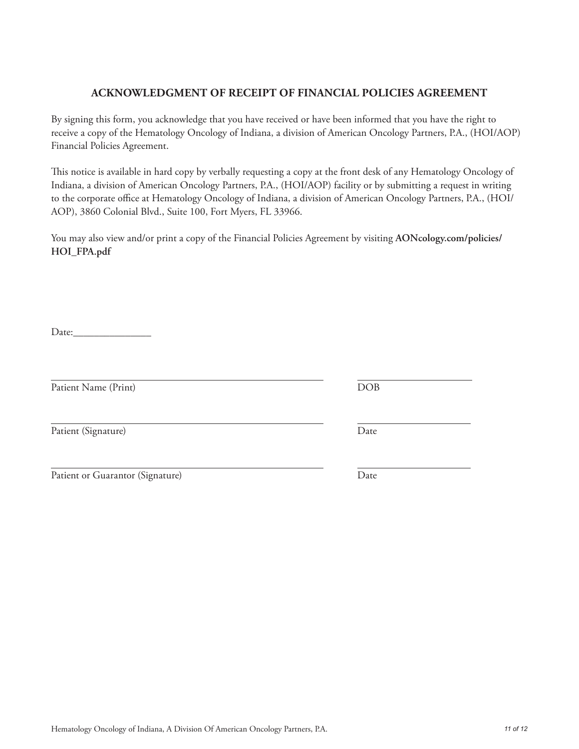# Hematology Oncology of Indiana, A Division Of American Oncology Partners, P.A. *11 of 12*

#### **ACKNOWLEDGMENT OF RECEIPT OF FINANCIAL POLICIES AGREEMENT**

By signing this form, you acknowledge that you have received or have been informed that you have the right to receive a copy of the Hematology Oncology of Indiana, a division of American Oncology Partners, P.A., (HOI/AOP) Financial Policies Agreement.

This notice is available in hard copy by verbally requesting a copy at the front desk of any Hematology Oncology of Indiana, a division of American Oncology Partners, P.A., (HOI/AOP) facility or by submitting a request in writing to the corporate office at Hematology Oncology of Indiana, a division of American Oncology Partners, P.A., (HOI/ AOP), 3860 Colonial Blvd., Suite 100, Fort Myers, FL 33966.

You may also view and/or print a copy of the Financial Policies Agreement by visiting **AONcology.com/policies/ HOI\_FPA.pdf**

Date:\_\_\_\_\_\_\_\_\_\_\_\_\_\_\_

Patient Name (Print) DOB

Patient (Signature) Date

Patient or Guarantor (Signature) Date